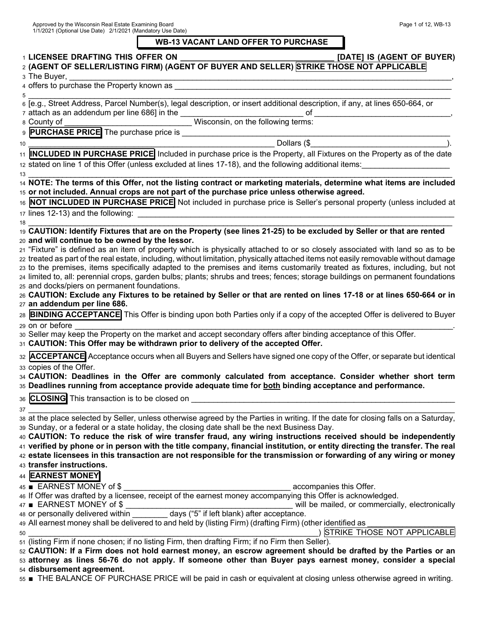# **WB-13 VACANT LAND OFFER TO PURCHASE**

|  | Page 1 of 12, WB-13 |  |  |  |
|--|---------------------|--|--|--|
|--|---------------------|--|--|--|

|    | 1 LICENSEE DRAFTING THIS OFFER ON<br>[DATE] IS (AGENT OF BUYER)                                                                     |
|----|-------------------------------------------------------------------------------------------------------------------------------------|
|    | 2 (AGENT OF SELLER/LISTING FIRM) (AGENT OF BUYER AND SELLER) STRIKE THOSE NOT APPLICABLE                                            |
|    |                                                                                                                                     |
|    |                                                                                                                                     |
|    |                                                                                                                                     |
|    | 6 e.g., Street Address, Parcel Number(s), legal description, or insert additional description, if any, at lines 650-664, or         |
|    |                                                                                                                                     |
|    |                                                                                                                                     |
|    |                                                                                                                                     |
| 10 | Dollars (\$                                                                                                                         |
|    | 11 <b>INCLUDED IN PURCHASE PRICE</b> Included in purchase price is the Property, all Fixtures on the Property as of the date        |
|    | 12 stated on line 1 of this Offer (unless excluded at lines 17-18), and the following additional items:                             |
| 13 |                                                                                                                                     |
|    | 14 NOTE: The terms of this Offer, not the listing contract or marketing materials, determine what items are included                |
|    | 15 or not included. Annual crops are not part of the purchase price unless otherwise agreed.                                        |
|    | 16 <b>NOT INCLUDED IN PURCHASE PRICE</b> Not included in purchase price is Seller's personal property (unless included at           |
|    |                                                                                                                                     |
| 18 |                                                                                                                                     |
|    | 19 CAUTION: Identify Fixtures that are on the Property (see lines 21-25) to be excluded by Seller or that are rented                |
|    | 20 and will continue to be owned by the lessor.                                                                                     |
|    | 21 "Fixture" is defined as an item of property which is physically attached to or so closely associated with land so as to be       |
|    | 22 treated as part of the real estate, including, without limitation, physically attached items not easily removable without damage |
|    | 23 to the premises, items specifically adapted to the premises and items customarily treated as fixtures, including, but not        |
|    | 24 limited to, all: perennial crops, garden bulbs; plants; shrubs and trees; fences; storage buildings on permanent foundations     |
|    | 25 and docks/piers on permanent foundations.                                                                                        |
|    | 26 CAUTION: Exclude any Fixtures to be retained by Seller or that are rented on lines 17-18 or at lines 650-664 or in               |
|    | 27 an addendum per line 686.                                                                                                        |
|    | 28 <b>BINDING ACCEPTANCE</b> This Offer is binding upon both Parties only if a copy of the accepted Offer is delivered to Buyer     |
|    | 29 on or before                                                                                                                     |
|    | 30 Seller may keep the Property on the market and accept secondary offers after binding acceptance of this Offer.                   |
|    | 31 CAUTION: This Offer may be withdrawn prior to delivery of the accepted Offer.                                                    |
|    | 32 ACCEPTANCE Acceptance occurs when all Buyers and Sellers have signed one copy of the Offer, or separate but identical            |
|    | 33 copies of the Offer.                                                                                                             |
|    | 34 CAUTION: Deadlines in the Offer are commonly calculated from acceptance. Consider whether short term                             |
|    | 35 Deadlines running from acceptance provide adequate time for both binding acceptance and performance.                             |
|    | 36 CLOSING This transaction is to be closed on                                                                                      |
| 37 |                                                                                                                                     |
|    | 38 at the place selected by Seller, unless otherwise agreed by the Parties in writing. If the date for closing falls on a Saturday, |
|    | 39 Sunday, or a federal or a state holiday, the closing date shall be the next Business Day.                                        |
|    | 40 CAUTION: To reduce the risk of wire transfer fraud, any wiring instructions received should be independently                     |
|    | 41 verified by phone or in person with the title company, financial institution, or entity directing the transfer. The real         |
|    | 42 estate licensees in this transaction are not responsible for the transmission or forwarding of any wiring or money               |
|    | 43 transfer instructions.                                                                                                           |
|    | 44 EARNEST MONEY                                                                                                                    |
|    | 45 ■ EARNEST MONEY of \$<br>accompanies this Offer.                                                                                 |
|    | 46 If Offer was drafted by a licensee, receipt of the earnest money accompanying this Offer is acknowledged.                        |
|    | 47 EARNEST MONEY of \$<br>will be mailed, or commercially, electronically                                                           |
|    | 48 or personally delivered within ________ days ("5" if left blank) after acceptance.                                               |
|    | 49 All earnest money shall be delivered to and held by (listing Firm) (drafting Firm) (other identified as                          |
| 50 | STRIKE THOSE NOT APPLICABLE                                                                                                         |
|    | $51$ (listing Firm if none chosen; if no listing Firm, then drafting Firm; if no Firm then Seller).                                 |
|    | 52 CAUTION: If a Firm does not hold earnest money, an escrow agreement should be drafted by the Parties or an                       |
|    | 53 attorney as lines 56-76 do not apply. If someone other than Buyer pays earnest money, consider a special                         |
|    | 54 disbursement agreement.                                                                                                          |

55 ■ THE BALANCE OF PURCHASE PRICE will be paid in cash or equivalent at closing unless otherwise agreed in writing.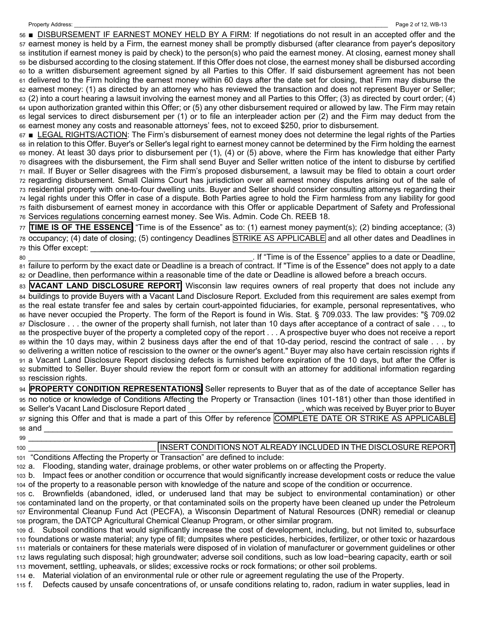56 ■ DISBURSEMENT IF EARNEST MONEY HELD BY A FIRM: If negotiations do not result in an accepted offer and the 57 earnest money is held by a Firm, the earnest money shall be promptly disbursed (after clearance from payer's depository 58 institution if earnest money is paid by check) to the person(s) who paid the earnest money. At closing, earnest money shall 59 be disbursed according to the closing statement. If this Offer does not close, the earnest money shall be disbursed according 60 to a written disbursement agreement signed by all Parties to this Offer. If said disbursement agreement has not been 61 delivered to the Firm holding the earnest money within 60 days after the date set for closing, that Firm may disburse the 62 earnest money: (1) as directed by an attorney who has reviewed the transaction and does not represent Buyer or Seller; 63 (2) into a court hearing a lawsuit involving the earnest money and all Parties to this Offer; (3) as directed by court order; (4) 64 upon authorization granted within this Offer; or (5) any other disbursement required or allowed by law. The Firm may retain 65 legal services to direct disbursement per (1) or to file an interpleader action per (2) and the Firm may deduct from the 66 earnest money any costs and reasonable attorneys' fees, not to exceed \$250, prior to disbursement.

67 ■ LEGAL RIGHTS/ACTION: The Firm's disbursement of earnest money does not determine the legal rights of the Parties 68 in relation to this Offer. Buyer's or Seller's legal right to earnest money cannot be determined by the Firm holding the earnest 69 money. At least 30 days prior to disbursement per (1), (4) or (5) above, where the Firm has knowledge that either Party 70 disagrees with the disbursement, the Firm shall send Buyer and Seller written notice of the intent to disburse by certified 71 mail. If Buyer or Seller disagrees with the Firm's proposed disbursement, a lawsuit may be filed to obtain a court order 72 regarding disbursement. Small Claims Court has jurisdiction over all earnest money disputes arising out of the sale of 73 residential property with one-to-four dwelling units. Buyer and Seller should consider consulting attorneys regarding their 74 legal rights under this Offer in case of a dispute. Both Parties agree to hold the Firm harmless from any liability for good 75 faith disbursement of earnest money in accordance with this Offer or applicable Department of Safety and Professional 76 Services regulations concerning earnest money. See Wis. Admin. Code Ch. REEB 18.

77 **TIME IS OF THE ESSENCE** "Time is of the Essence" as to: (1) earnest money payment(s); (2) binding acceptance; (3) 78 occupancy; (4) date of closing; (5) contingency Deadlines STRIKE AS APPLICABLE and all other dates and Deadlines in 79 this Offer except:

80 \_\_\_\_\_\_\_\_\_\_\_\_\_\_\_\_\_\_\_\_\_\_\_\_\_\_\_\_\_\_\_\_\_\_\_\_\_\_\_\_\_\_\_\_\_\_\_\_\_\_\_. If "Time is of the Essence" applies to a date or Deadline, 81 failure to perform by the exact date or Deadline is a breach of contract. If "Time is of the Essence" does not apply to a date 82 or Deadline, then performance within a reasonable time of the date or Deadline is allowed before a breach occurs.

83 **VACANT LAND DISCLOSURE REPORT** Wisconsin law requires owners of real property that does not include any 84 buildings to provide Buyers with a Vacant Land Disclosure Report. Excluded from this requirement are sales exempt from 85 the real estate transfer fee and sales by certain court-appointed fiduciaries, for example, personal representatives, who 86 have never occupied the Property. The form of the Report is found in Wis. Stat. § 709.033. The law provides: "§ 709.02 87 Disclosure . . . the owner of the property shall furnish, not later than 10 days after acceptance of a contract of sale . . ., to 88 the prospective buyer of the property a completed copy of the report . . . A prospective buyer who does not receive a report 89 within the 10 days may, within 2 business days after the end of that 10-day period, rescind the contract of sale . . . by 90 delivering a written notice of rescission to the owner or the owner's agent." Buyer may also have certain rescission rights if 91 a Vacant Land Disclosure Report disclosing defects is furnished before expiration of the 10 days, but after the Offer is 92 submitted to Seller. Buyer should review the report form or consult with an attorney for additional information regarding 93 rescission rights.

| 94 <b>PROPERTY CONDITION REPRESENTATIONS</b> Seller represents to Buyer that as of the date of acceptance Seller has         |                                              |
|------------------------------------------------------------------------------------------------------------------------------|----------------------------------------------|
| 95 no notice or knowledge of Conditions Affecting the Property or Transaction (lines 101-181) other than those identified in |                                              |
| 96 Seller's Vacant Land Disclosure Report dated                                                                              | , which was received by Buyer prior to Buyer |
| 97 signing this Offer and that is made a part of this Offer by reference COMPLETE DATE OR STRIKE AS APPLICABLE               |                                              |
| 98 and                                                                                                                       |                                              |

| 99                   |                                                                  |
|----------------------|------------------------------------------------------------------|
| $\sim$ $\sim$ $\sim$ | INCEDIT CONDITIONS NOT ALDEADY INCLUDED IN THE DISCLOSURE DEDODT |

#### 100 \_\_\_\_\_\_\_\_\_\_\_\_\_\_\_\_\_\_\_\_\_\_\_\_\_\_\_\_\_ INSERT CONDITIONS NOT ALREADY INCLUDED IN THE DISCLOSURE REPORT

101 "Conditions Affecting the Property or Transaction" are defined to include:

102 a. Flooding, standing water, drainage problems, or other water problems on or affecting the Property.

103 b. Impact fees or another condition or occurrence that would significantly increase development costs or reduce the value 104 of the property to a reasonable person with knowledge of the nature and scope of the condition or occurrence.

105 c. Brownfields (abandoned, idled, or underused land that may be subject to environmental contamination) or other 106 contaminated land on the property, or that contaminated soils on the property have been cleaned up under the Petroleum 107 Environmental Cleanup Fund Act (PECFA), a Wisconsin Department of Natural Resources (DNR) remedial or cleanup 108 program, the DATCP Agricultural Chemical Cleanup Program, or other similar program.

109 d. Subsoil conditions that would significantly increase the cost of development, including, but not limited to, subsurface 110 foundations or waste material; any type of fill; dumpsites where pesticides, herbicides, fertilizer, or other toxic or hazardous 111 materials or containers for these materials were disposed of in violation of manufacturer or government guidelines or other 112 laws regulating such disposal; high groundwater; adverse soil conditions, such as low load−bearing capacity, earth or soil 113 movement, settling, upheavals, or slides; excessive rocks or rock formations; or other soil problems.

114 e. Material violation of an environmental rule or other rule or agreement regulating the use of the Property.

115 f. Defects caused by unsafe concentrations of, or unsafe conditions relating to, radon, radium in water supplies, lead in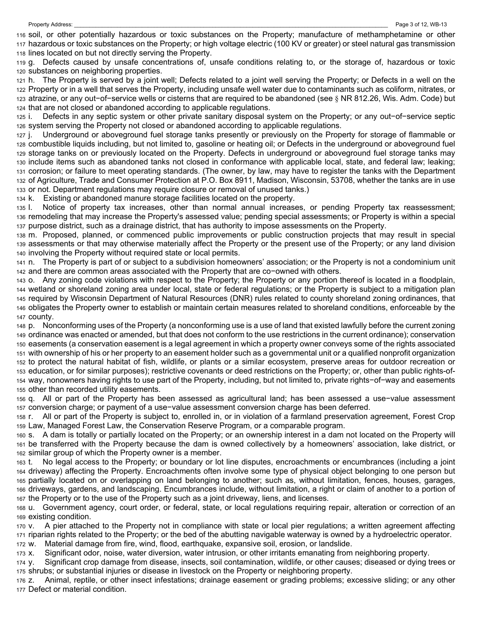116 soil, or other potentially hazardous or toxic substances on the Property; manufacture of methamphetamine or other 117 hazardous or toxic substances on the Property; or high voltage electric (100 KV or greater) or steel natural gas transmission 118 lines located on but not directly serving the Property.

119 g. Defects caused by unsafe concentrations of, unsafe conditions relating to, or the storage of, hazardous or toxic 120 substances on neighboring properties.

121 h. The Property is served by a joint well; Defects related to a joint well serving the Property; or Defects in a well on the 122 Property or in a well that serves the Property, including unsafe well water due to contaminants such as coliform, nitrates, or 123 atrazine, or any out−of−service wells or cisterns that are required to be abandoned (see § NR 812.26, Wis. Adm. Code) but 124 that are not closed or abandoned according to applicable regulations.

125 i. Defects in any septic system or other private sanitary disposal system on the Property; or any out−of−service septic 126 system serving the Property not closed or abandoned according to applicable regulations.

127 j. Underground or aboveground fuel storage tanks presently or previously on the Property for storage of flammable or 128 combustible liquids including, but not limited to, gasoline or heating oil; or Defects in the underground or aboveground fuel 129 storage tanks on or previously located on the Property. Defects in underground or aboveground fuel storage tanks may 130 include items such as abandoned tanks not closed in conformance with applicable local, state, and federal law; leaking; 131 corrosion; or failure to meet operating standards. (The owner, by law, may have to register the tanks with the Department 132 of Agriculture, Trade and Consumer Protection at P.O. Box 8911, Madison, Wisconsin, 53708, whether the tanks are in use 133 or not. Department regulations may require closure or removal of unused tanks.)

134 k. Existing or abandoned manure storage facilities located on the property.

135 l. Notice of property tax increases, other than normal annual increases, or pending Property tax reassessment; 136 remodeling that may increase the Property's assessed value; pending special assessments; or Property is within a special 137 purpose district, such as a drainage district, that has authority to impose assessments on the Property.

138 m. Proposed, planned, or commenced public improvements or public construction projects that may result in special 139 assessments or that may otherwise materially affect the Property or the present use of the Property; or any land division 140 involving the Property without required state or local permits.

141 n. The Property is part of or subject to a subdivision homeowners' association; or the Property is not a condominium unit 142 and there are common areas associated with the Property that are co−owned with others.

143 o. Any zoning code violations with respect to the Property; the Property or any portion thereof is located in a floodplain, 144 wetland or shoreland zoning area under local, state or federal regulations; or the Property is subject to a mitigation plan 145 required by Wisconsin Department of Natural Resources (DNR) rules related to county shoreland zoning ordinances, that 146 obligates the Property owner to establish or maintain certain measures related to shoreland conditions, enforceable by the 147 county.

148 p. Nonconforming uses of the Property (a nonconforming use is a use of land that existed lawfully before the current zoning 149 ordinance was enacted or amended, but that does not conform to the use restrictions in the current ordinance); conservation 150 easements (a conservation easement is a legal agreement in which a property owner conveys some of the rights associated 151 with ownership of his or her property to an easement holder such as a governmental unit or a qualified nonprofit organization 152 to protect the natural habitat of fish, wildlife, or plants or a similar ecosystem, preserve areas for outdoor recreation or 153 education, or for similar purposes); restrictive covenants or deed restrictions on the Property; or, other than public rights-of-154 way, nonowners having rights to use part of the Property, including, but not limited to, private rights−of−way and easements 155 other than recorded utility easements.

156 q. All or part of the Property has been assessed as agricultural land; has been assessed a use−value assessment 157 conversion charge; or payment of a use−value assessment conversion charge has been deferred.

158 r. All or part of the Property is subject to, enrolled in, or in violation of a farmland preservation agreement, Forest Crop 159 Law, Managed Forest Law, the Conservation Reserve Program, or a comparable program.

160 s. A dam is totally or partially located on the Property; or an ownership interest in a dam not located on the Property will 161 be transferred with the Property because the dam is owned collectively by a homeowners' association, lake district, or 162 similar group of which the Property owner is a member.

163 t. No legal access to the Property; or boundary or lot line disputes, encroachments or encumbrances (including a joint 164 driveway) affecting the Property. Encroachments often involve some type of physical object belonging to one person but 165 partially located on or overlapping on land belonging to another; such as, without limitation, fences, houses, garages, 166 driveways, gardens, and landscaping. Encumbrances include, without limitation, a right or claim of another to a portion of 167 the Property or to the use of the Property such as a joint driveway, liens, and licenses.

168 u. Government agency, court order, or federal, state, or local regulations requiring repair, alteration or correction of an 169 existing condition.

170 v. A pier attached to the Property not in compliance with state or local pier regulations; a written agreement affecting 171 riparian rights related to the Property; or the bed of the abutting navigable waterway is owned by a hydroelectric operator. 172 w. Material damage from fire, wind, flood, earthquake, expansive soil, erosion, or landslide.

173 x. Significant odor, noise, water diversion, water intrusion, or other irritants emanating from neighboring property.

174 y. Significant crop damage from disease, insects, soil contamination, wildlife, or other causes; diseased or dying trees or 175 shrubs; or substantial injuries or disease in livestock on the Property or neighboring property.

176 z. Animal, reptile, or other insect infestations; drainage easement or grading problems; excessive sliding; or any other 177 Defect or material condition.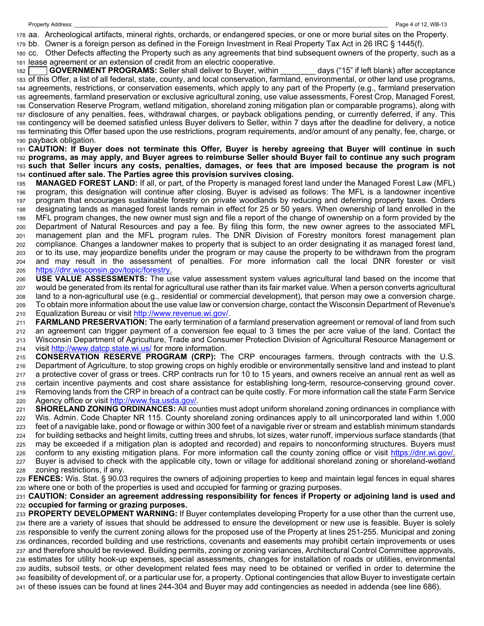178 aa. Archeological artifacts, mineral rights, orchards, or endangered species, or one or more burial sites on the Property.

179 bb. Owner is a foreign person as defined in the Foreign Investment in Real Property Tax Act in 26 IRC § 1445(f). 180 cc. Other Defects affecting the Property such as any agreements that bind subsequent owners of the property, such as a 181 lease agreement or an extension of credit from an electric cooperative.

182 **GOVERNMENT PROGRAMS:** Seller shall deliver to Buyer, within \_\_\_\_\_\_\_\_ days ("15" if left blank) after acceptance 183 of this Offer, a list of all federal, state, county, and local conservation, farmland, environmental, or other land use programs, 184 agreements, restrictions, or conservation easements, which apply to any part of the Property (e.g., farmland preservation 185 agreements, farmland preservation or exclusive agricultural zoning, use value assessments, Forest Crop, Managed Forest, 186 Conservation Reserve Program, wetland mitigation, shoreland zoning mitigation plan or comparable programs), along with 187 disclosure of any penalties, fees, withdrawal charges, or payback obligations pending, or currently deferred, if any. This 188 contingency will be deemed satisfied unless Buyer delivers to Seller, within 7 days after the deadline for delivery, a notice 189 terminating this Offer based upon the use restrictions, program requirements, and/or amount of any penalty, fee, charge, or 190 payback obligation.

**CAUTION: If Buyer does not terminate this Offer, Buyer is hereby agreeing that Buyer will continue in such programs, as may apply, and Buyer agrees to reimburse Seller should Buyer fail to continue any such program such that Seller incurs any costs, penalties, damages, or fees that are imposed because the program is not continued after sale. The Parties agree this provision survives closing.** 

195 **MANAGED FOREST LAND:** If all, or part, of the Property is managed forest land under the Managed Forest Law (MFL) 196 program, this designation will continue after closing. Buyer is advised as follows: The MFL is a landowner incentive 197 program that encourages sustainable forestry on private woodlands by reducing and deferring property taxes. Orders 198 designating lands as managed forest lands remain in effect for 25 or 50 years. When ownership of land enrolled in the 199 MFL program changes, the new owner must sign and file a report of the change of ownership on a form provided by the 200 Department of Natural Resources and pay a fee. By filing this form, the new owner agrees to the associated MFL 201 management plan and the MFL program rules. The DNR Division of Forestry monitors forest management plan 202 compliance. Changes a landowner makes to property that is subject to an order designating it as managed forest land, 203 or to its use, may jeopardize benefits under the program or may cause the property to be withdrawn from the program 204 and may result in the assessment of penalties. For more information call the local DNR forester or visit 205 https://dnr.wisconsin.gov/topic/forestry.

206 **USE VALUE ASSESSMENTS:** The use value assessment system values agricultural land based on the income that 207 would be generated from its rental for agricultural use rather than its fair market value. When a person converts agricultural 208 land to a non-agricultural use (e.g., residential or commercial development), that person may owe a conversion charge. 209 To obtain more information about the use value law or conversion charge, contact the Wisconsin Department of Revenue's 210 Equalization Bureau or visit http://www.revenue.wi.gov/.

211 **FARMLAND PRESERVATION:** The early termination of a farmland preservation agreement or removal of land from such 212 an agreement can trigger payment of a conversion fee equal to 3 times the per acre value of the land. Contact the 213 Wisconsin Department of Agriculture, Trade and Consumer Protection Division of Agricultural Resource Management or 214 visit http://www.datcp.state.wi.us/ for more information.

215 **CONSERVATION RESERVE PROGRAM (CRP):** The CRP encourages farmers, through contracts with the U.S. 216 Department of Agriculture, to stop growing crops on highly erodible or environmentally sensitive land and instead to plant 217 a protective cover of grass or trees. CRP contracts run for 10 to 15 years, and owners receive an annual rent as well as 218 certain incentive payments and cost share assistance for establishing long-term, resource-conserving ground cover. 219 Removing lands from the CRP in breach of a contract can be quite costly. For more information call the state Farm Service 220 Agency office or visit http://www.fsa.usda.gov/.

221 **SHORELAND ZONING ORDINANCES:** All counties must adopt uniform shoreland zoning ordinances in compliance with 222 Wis. Admin. Code Chapter NR 115. County shoreland zoning ordinances apply to all unincorporated land within 1,000 223 feet of a navigable lake, pond or flowage or within 300 feet of a navigable river or stream and establish minimum standards 224 for building setbacks and height limits, cutting trees and shrubs, lot sizes, water runoff, impervious surface standards (that 225 may be exceeded if a mitigation plan is adopted and recorded) and repairs to nonconforming structures. Buyers must 226 conform to any existing mitigation plans. For more information call the county zoning office or visit https://dnr.wi.gov/. 227 Buyer is advised to check with the applicable city, town or village for additional shoreland zoning or shoreland-wetland

228 zoning restrictions, if any. 229 **FENCES:** Wis. Stat. § 90.03 requires the owners of adjoining properties to keep and maintain legal fences in equal shares

230 where one or both of the properties is used and occupied for farming or grazing purposes.

231 **CAUTION: Consider an agreement addressing responsibility for fences if Property or adjoining land is used and**  232 **occupied for farming or grazing purposes.** 

233 **PROPERTY DEVELOPMENT WARNING:** If Buyer contemplates developing Property for a use other than the current use, 234 there are a variety of issues that should be addressed to ensure the development or new use is feasible. Buyer is solely 235 responsible to verify the current zoning allows for the proposed use of the Property at lines 251-255. Municipal and zoning 236 ordinances, recorded building and use restrictions, covenants and easements may prohibit certain improvements or uses 237 and therefore should be reviewed. Building permits, zoning or zoning variances, Architectural Control Committee approvals, 238 estimates for utility hook-up expenses, special assessments, changes for installation of roads or utilities, environmental 239 audits, subsoil tests, or other development related fees may need to be obtained or verified in order to determine the 240 feasibility of development of, or a particular use for, a property. Optional contingencies that allow Buyer to investigate certain 241 of these issues can be found at lines 244-304 and Buyer may add contingencies as needed in addenda (see line 686).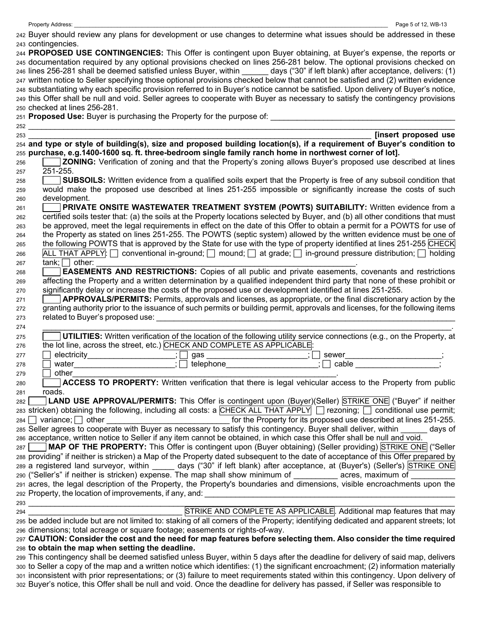|                    |  | 242 Buyer should review any plans for development or use changes to determine what issues should be addressed in these |  |  |  |  |
|--------------------|--|------------------------------------------------------------------------------------------------------------------------|--|--|--|--|
| 243 contingencies. |  |                                                                                                                        |  |  |  |  |

244 **PROPOSED USE CONTINGENCIES:** This Offer is contingent upon Buyer obtaining, at Buyer's expense, the reports or 245 documentation required by any optional provisions checked on lines 256-281 below. The optional provisions checked on 246 lines 256-281 shall be deemed satisfied unless Buyer, within \_\_\_\_\_\_ days ("30" if left blank) after acceptance, delivers: (1) 247 written notice to Seller specifying those optional provisions checked below that cannot be satisfied and (2) written evidence 248 substantiating why each specific provision referred to in Buyer's notice cannot be satisfied. Upon delivery of Buyer's notice, 249 this Offer shall be null and void. Seller agrees to cooperate with Buyer as necessary to satisfy the contingency provisions 250 checked at lines 256-281.

251 **Proposed Use:** Buyer is purchasing the Property for the purpose of:

| 252 |                                                                                                                                      |
|-----|--------------------------------------------------------------------------------------------------------------------------------------|
| 253 | [insert proposed use                                                                                                                 |
|     | 254 and type or style of building(s), size and proposed building location(s), if a requirement of Buyer's condition to               |
|     | 255 purchase, e.g.1400-1600 sq. ft. three-bedroom single family ranch home in northwest corner of lot].                              |
| 256 | <b>ZONING:</b> Verification of zoning and that the Property's zoning allows Buyer's proposed use described at lines                  |
| 257 | 251-255.                                                                                                                             |
|     | SUBSOILS: Written evidence from a qualified soils expert that the Property is free of any subsoil condition that                     |
| 258 | would make the proposed use described at lines 251-255 impossible or significantly increase the costs of such                        |
| 259 |                                                                                                                                      |
| 260 | development.                                                                                                                         |
| 261 | PRIVATE ONSITE WASTEWATER TREATMENT SYSTEM (POWTS) SUITABILITY: Written evidence from a                                              |
| 262 | certified soils tester that: (a) the soils at the Property locations selected by Buyer, and (b) all other conditions that must       |
| 263 | be approved, meet the legal requirements in effect on the date of this Offer to obtain a permit for a POWTS for use of               |
| 264 | the Property as stated on lines 251-255. The POWTS (septic system) allowed by the written evidence must be one of                    |
| 265 | the following POWTS that is approved by the State for use with the type of property identified at lines 251-255 CHECK                |
| 266 | ALL THAT APPLY: $\Box$ conventional in-ground; $\Box$ mound; $\Box$ at grade; $\Box$ in-ground pressure distribution; $\Box$ holding |
| 267 | $tank; \Box$ other:                                                                                                                  |
| 268 | <b>EASEMENTS AND RESTRICTIONS:</b> Copies of all public and private easements, covenants and restrictions                            |
| 269 | affecting the Property and a written determination by a qualified independent third party that none of these prohibit or             |
| 270 | significantly delay or increase the costs of the proposed use or development identified at lines 251-255.                            |
| 271 | APPROVALS/PERMITS: Permits, approvals and licenses, as appropriate, or the final discretionary action by the                         |
| 272 | granting authority prior to the issuance of such permits or building permit, approvals and licenses, for the following items         |
| 273 |                                                                                                                                      |
|     |                                                                                                                                      |
| 274 |                                                                                                                                      |
| 275 | UTILITIES: Written verification of the location of the following utility service connections (e.g., on the Property, at              |
| 276 | the lot line, across the street, etc.) CHECK AND COMPLETE AS APPLICABLE:                                                             |
| 277 |                                                                                                                                      |
| 278 |                                                                                                                                      |
| 279 | other                                                                                                                                |
| 280 | ACCESS TO PROPERTY: Written verification that there is legal vehicular access to the Property from public                            |
| 281 | roads.                                                                                                                               |
| 282 | LAND USE APPROVAL/PERMITS: This Offer is contingent upon (Buyer)(Seller) STRIKE ONE ("Buyer" if neither                              |
|     | 283 stricken) obtaining the following, including all costs: a CHECK ALL THAT APPLY nezoning; nonditional use permit;                 |
|     | for the Property for its proposed use described at lines 251-255.<br>$284 \Box$ variance; $\Box$ other                               |
|     | 285 Seller agrees to cooperate with Buyer as necessary to satisfy this contingency. Buyer shall deliver, within days of              |
|     | 286 acceptance, written notice to Seller if any item cannot be obtained, in which case this Offer shall be null and void.            |
| 287 | MAP OF THE PROPERTY: This Offer is contingent upon (Buyer obtaining) (Seller providing) STRIKE ONE ("Seller                          |
|     | 288 providing" if neither is stricken) a Map of the Property dated subsequent to the date of acceptance of this Offer prepared by    |
|     | 289 a registered land surveyor, within ______ days ("30" if left blank) after acceptance, at (Buyer's) (Seller's) STRIKE ONE         |
|     | 290 ("Seller's" if neither is stricken) expense. The map shall show minimum of _________ acres, maximum of                           |
|     | 291 acres, the legal description of the Property, the Property's boundaries and dimensions, visible encroachments upon the           |
|     | 292 Property, the location of improvements, if any, and:                                                                             |
|     |                                                                                                                                      |
|     | 293<br>STRIKE AND COMPLETE AS APPLICABLE. Additional map features that may                                                           |
| 294 |                                                                                                                                      |
|     | 295 be added include but are not limited to: staking of all corners of the Property; identifying dedicated and apparent streets; lot |
|     | 296 dimensions; total acreage or square footage; easements or rights-of-way.                                                         |
|     | 297 CAUTION: Consider the cost and the need for map features before selecting them. Also consider the time required                  |
|     | 298 to obtain the map when setting the deadline.                                                                                     |
|     | 299 This contingency shall be deemed satisfied unless Buyer, within 5 days after the deadline for delivery of said map, delivers     |
|     | 300 to Seller a copy of the map and a written notice which identifies: (1) the significant encroachment; (2) information materially  |
|     | 301 inconsistent with prior representations; or (3) failure to meet requirements stated within this contingency. Upon delivery of    |
|     | 302 Buyer's notice, this Offer shall be null and void. Once the deadline for delivery has passed, if Seller was responsible to       |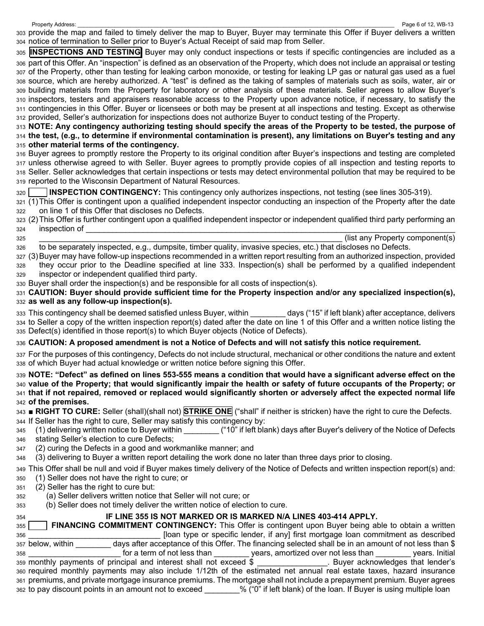303 provide the map and failed to timely deliver the map to Buyer, Buyer may terminate this Offer if Buyer delivers a written 304 notice of termination to Seller prior to Buyer's Actual Receipt of said map from Seller.

305 **INSPECTIONS AND TESTING** Buyer may only conduct inspections or tests if specific contingencies are included as a 306 part of this Offer. An "inspection" is defined as an observation of the Property, which does not include an appraisal or testing 307 of the Property, other than testing for leaking carbon monoxide, or testing for leaking LP gas or natural gas used as a fuel 308 source, which are hereby authorized. A "test" is defined as the taking of samples of materials such as soils, water, air or 309 building materials from the Property for laboratory or other analysis of these materials. Seller agrees to allow Buyer's 310 inspectors, testers and appraisers reasonable access to the Property upon advance notice, if necessary, to satisfy the 311 contingencies in this Offer. Buyer or licensees or both may be present at all inspections and testing. Except as otherwise 312 provided, Seller's authorization for inspections does not authorize Buyer to conduct testing of the Property.

313 **NOTE: Any contingency authorizing testing should specify the areas of the Property to be tested, the purpose of**  314 **the test, (e.g., to determine if environmental contamination is present), any limitations on Buyer's testing and any**  315 **other material terms of the contingency.** 

316 Buyer agrees to promptly restore the Property to its original condition after Buyer's inspections and testing are completed 317 unless otherwise agreed to with Seller. Buyer agrees to promptly provide copies of all inspection and testing reports to 318 Seller. Seller acknowledges that certain inspections or tests may detect environmental pollution that may be required to be 319 reported to the Wisconsin Department of Natural Resources.

320 **INSPECTION CONTINGENCY:** This contingency only authorizes inspections, not testing (see lines 305-319).

321 (1) This Offer is contingent upon a qualified independent inspector conducting an inspection of the Property after the date 322 on line 1 of this Offer that discloses no Defects.

323 (2) This Offer is further contingent upon a qualified independent inspector or independent qualified third party performing an 324 inspection of \_\_\_\_\_\_\_\_\_\_\_\_\_\_\_\_\_\_\_\_\_\_\_\_\_\_\_\_\_\_\_\_\_\_\_\_\_\_\_\_\_\_\_\_\_\_\_\_\_\_\_\_\_\_\_\_\_\_\_\_\_\_\_\_\_\_\_\_\_\_\_\_\_\_\_\_\_\_\_\_\_\_\_\_

325 and the state of the state of the state of the state of the state of the state of the state of the state of the state of the state of the state of the state of the state of the state of the state of the state of the st

- 326 to be separately inspected, e.g., dumpsite, timber quality, invasive species, etc.) that discloses no Defects.
- 327 (3) Buyer may have follow-up inspections recommended in a written report resulting from an authorized inspection, provided 328 they occur prior to the Deadline specified at line 333. Inspection(s) shall be performed by a qualified independent 329 inspector or independent qualified third party.

330 Buyer shall order the inspection(s) and be responsible for all costs of inspection(s).

331 **CAUTION: Buyer should provide sufficient time for the Property inspection and/or any specialized inspection(s),**  332 **as well as any follow-up inspection(s).**

333 This contingency shall be deemed satisfied unless Buyer, within \_\_\_\_\_\_\_\_ days ("15" if left blank) after acceptance, delivers 334 to Seller a copy of the written inspection report(s) dated after the date on line 1 of this Offer and a written notice listing the 335 Defect(s) identified in those report(s) to which Buyer objects (Notice of Defects).

336 **CAUTION: A proposed amendment is not a Notice of Defects and will not satisfy this notice requirement.**

337 For the purposes of this contingency, Defects do not include structural, mechanical or other conditions the nature and extent 338 of which Buyer had actual knowledge or written notice before signing this Offer.

**NOTE: "Defect" as defined on lines 553-555 means a condition that would have a significant adverse effect on the value of the Property; that would significantly impair the health or safety of future occupants of the Property; or that if not repaired, removed or replaced would significantly shorten or adversely affect the expected normal life of the premises.** 

343 ■ **RIGHT TO CURE:** Seller (shall)(shall not) **STRIKE ONE** ("shall" if neither is stricken) have the right to cure the Defects. 344 If Seller has the right to cure, Seller may satisfy this contingency by:

- 345 (1) delivering written notice to Buyer within \_\_\_\_\_\_\_\_ ("10" if left blank) days after Buyer's delivery of the Notice of Defects
- 346 stating Seller's election to cure Defects;
- 347 (2) curing the Defects in a good and workmanlike manner; and

348 (3) delivering to Buyer a written report detailing the work done no later than three days prior to closing.

349 This Offer shall be null and void if Buyer makes timely delivery of the Notice of Defects and written inspection report(s) and:

350 (1) Seller does not have the right to cure; or

- 351 (2) Seller has the right to cure but:
- 352 (a) Seller delivers written notice that Seller will not cure; or
- 353 (b) Seller does not timely deliver the written notice of election to cure.

# 354 **IF LINE 355 IS NOT MARKED OR IS MARKED N/A LINES 403-414 APPLY.**

355 **FINANCING COMMITMENT CONTINGENCY:** This Offer is contingent upon Buyer being able to obtain a written 356 \_\_\_\_\_\_\_\_\_\_\_\_\_\_\_\_\_\_\_\_\_\_\_\_\_\_\_\_\_\_ [loan type or specific lender, if any] first mortgage loan commitment as described 357 below, within \_\_\_\_\_\_\_\_ days after acceptance of this Offer. The financing selected shall be in an amount of not less than \$ 358 \_\_\_\_\_\_\_\_\_\_\_\_\_\_\_\_\_\_\_\_\_ for a term of not less than \_\_\_\_\_\_\_\_ years, amortized over not less than \_\_\_\_\_\_\_\_ years. Initial 359 monthly payments of principal and interest shall not exceed \$ . Buyer acknowledges that lender's 360 required monthly payments may also include 1/12th of the estimated net annual real estate taxes, hazard insurance 361 premiums, and private mortgage insurance premiums. The mortgage shall not include a prepayment premium. Buyer agrees 362 to pay discount points in an amount not to exceed \_\_\_\_\_\_\_% ("0" if left blank) of the loan. If Buyer is using multiple loan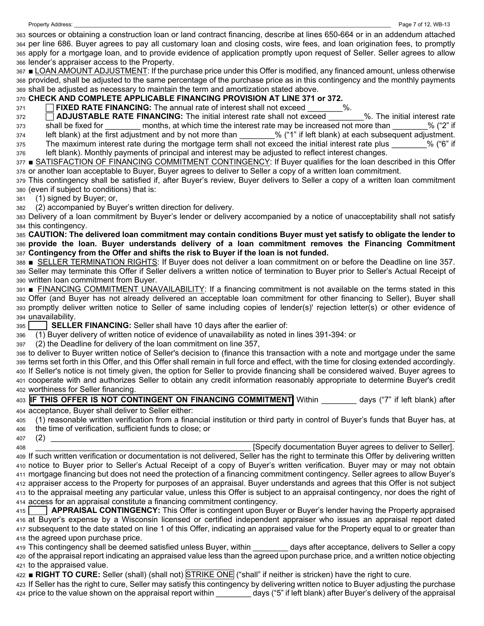363 sources or obtaining a construction loan or land contract financing, describe at lines 650-664 or in an addendum attached 364 per line 686. Buyer agrees to pay all customary loan and closing costs, wire fees, and loan origination fees, to promptly 365 apply for a mortgage loan, and to provide evidence of application promptly upon request of Seller. Seller agrees to allow 366 lender's appraiser access to the Property.

367 **■** LOAN AMOUNT ADJUSTMENT: If the purchase price under this Offer is modified, any financed amount, unless otherwise 368 provided, shall be adjusted to the same percentage of the purchase price as in this contingency and the monthly payments 369 shall be adjusted as necessary to maintain the term and amortization stated above.

370 **CHECK AND COMPLETE APPLICABLE FINANCING PROVISION AT LINE 371 or 372.** 

371 **FIXED RATE FINANCING:** The annual rate of interest shall not exceed  $\%$ .

372 **ADJUSTABLE RATE FINANCING:** The initial interest rate shall not exceed 28. The initial interest rate

373 shall be fixed for \_\_\_\_\_\_\_\_ months, at which time the interest rate may be increased not more than \_\_\_\_\_\_\_\_% ("2" if

374 left blank) at the first adjustment and by not more than \_\_\_\_\_\_\_\_% ("1" if left blank) at each subsequent adjustment. 375 The maximum interest rate during the mortgage term shall not exceed the initial interest rate plus  $\%$  ("6" if

376 left blank). Monthly payments of principal and interest may be adjusted to reflect interest changes.

377 **■** SATISFACTION OF FINANCING COMMITMENT CONTINGENCY: If Buyer qualifies for the loan described in this Offer 378 or another loan acceptable to Buyer, Buyer agrees to deliver to Seller a copy of a written loan commitment.

379 This contingency shall be satisfied if, after Buyer's review, Buyer delivers to Seller a copy of a written loan commitment 380 (even if subject to conditions) that is:

381 (1) signed by Buyer; or,

382 (2) accompanied by Buyer's written direction for delivery.

383 Delivery of a loan commitment by Buyer's lender or delivery accompanied by a notice of unacceptability shall not satisfy 384 this contingency.

385 **CAUTION: The delivered loan commitment may contain conditions Buyer must yet satisfy to obligate the lender to**  386 **provide the loan. Buyer understands delivery of a loan commitment removes the Financing Commitment**  387 **Contingency from the Offer and shifts the risk to Buyer if the loan is not funded.** 

388 **■** SELLER TERMINATION RIGHTS: If Buyer does not deliver a loan commitment on or before the Deadline on line 357. 389 Seller may terminate this Offer if Seller delivers a written notice of termination to Buyer prior to Seller's Actual Receipt of 390 written loan commitment from Buyer.

391 **■** FINANCING COMMITMENT UNAVAILABILITY: If a financing commitment is not available on the terms stated in this 392 Offer (and Buyer has not already delivered an acceptable loan commitment for other financing to Seller), Buyer shall 393 promptly deliver written notice to Seller of same including copies of lender(s)' rejection letter(s) or other evidence of 394 unavailability.

395 **SELLER FINANCING:** Seller shall have 10 days after the earlier of:

396 (1) Buyer delivery of written notice of evidence of unavailability as noted in lines 391-394: or

397 (2) the Deadline for delivery of the loan commitment on line 357,

398 to deliver to Buyer written notice of Seller's decision to (finance this transaction with a note and mortgage under the same 399 terms set forth in this Offer, and this Offer shall remain in full force and effect, with the time for closing extended accordingly. 400 If Seller's notice is not timely given, the option for Seller to provide financing shall be considered waived. Buyer agrees to 401 cooperate with and authorizes Seller to obtain any credit information reasonably appropriate to determine Buyer's credit 402 worthiness for Seller financing.

403 **IF THIS OFFER IS NOT CONTINGENT ON FINANCING COMMITMENT** Within \_\_\_\_\_\_\_\_ days ("7" if left blank) after

404 acceptance, Buyer shall deliver to Seller either:

| 405 (1) reasonable written verification from a financial institution or third party in control of Buyer's funds that Buyer has, at |
|------------------------------------------------------------------------------------------------------------------------------------|
| 406 the time of verification, sufficient funds to close; or                                                                        |

407 (2)  $\Box$ 408 \_\_\_\_\_\_\_\_\_\_\_\_\_\_\_\_\_\_\_\_\_\_\_\_\_\_\_\_\_\_\_\_\_\_\_\_\_\_\_\_\_\_\_\_\_\_\_\_\_ [Specify documentation Buyer agrees to deliver to Seller].

409 If such written verification or documentation is not delivered, Seller has the right to terminate this Offer by delivering written 410 notice to Buyer prior to Seller's Actual Receipt of a copy of Buyer's written verification. Buyer may or may not obtain 411 mortgage financing but does not need the protection of a financing commitment contingency. Seller agrees to allow Buyer's 412 appraiser access to the Property for purposes of an appraisal. Buyer understands and agrees that this Offer is not subject 413 to the appraisal meeting any particular value, unless this Offer is subject to an appraisal contingency, nor does the right of 414 access for an appraisal constitute a financing commitment contingency.

415 **APPRAISAL CONTINGENCY:** This Offer is contingent upon Buyer or Buyer's lender having the Property appraised 416 at Buyer's expense by a Wisconsin licensed or certified independent appraiser who issues an appraisal report dated 417 subsequent to the date stated on line 1 of this Offer, indicating an appraised value for the Property equal to or greater than 418 the agreed upon purchase price.

419 This contingency shall be deemed satisfied unless Buyer, within \_\_\_\_\_\_\_\_ days after acceptance, delivers to Seller a copy 420 of the appraisal report indicating an appraised value less than the agreed upon purchase price, and a written notice objecting 421 to the appraised value.

422 ■ **RIGHT TO CURE:** Seller (shall) (shall not) STRIKE ONE ("shall" if neither is stricken) have the right to cure.

423 If Seller has the right to cure, Seller may satisfy this contingency by delivering written notice to Buyer adjusting the purchase 424 price to the value shown on the appraisal report within days ("5" if left blank) after Buyer's delivery of the appraisal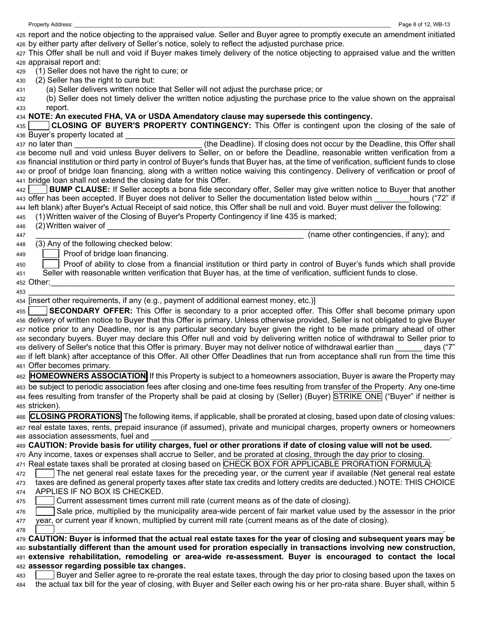|     | Page 8 of 12, WB-13<br>Property Address:                                                                                                                                                                                               |
|-----|----------------------------------------------------------------------------------------------------------------------------------------------------------------------------------------------------------------------------------------|
|     | 425 report and the notice objecting to the appraised value. Seller and Buyer agree to promptly execute an amendment initiated<br>426 by either party after delivery of Seller's notice, solely to reflect the adjusted purchase price. |
|     | 427 This Offer shall be null and void if Buyer makes timely delivery of the notice objecting to appraised value and the written                                                                                                        |
|     | 428 appraisal report and:                                                                                                                                                                                                              |
| 429 | (1) Seller does not have the right to cure; or                                                                                                                                                                                         |
| 430 | (2) Seller has the right to cure but:                                                                                                                                                                                                  |
| 431 | (a) Seller delivers written notice that Seller will not adjust the purchase price; or                                                                                                                                                  |
| 432 | (b) Seller does not timely deliver the written notice adjusting the purchase price to the value shown on the appraisal                                                                                                                 |
| 433 | report.                                                                                                                                                                                                                                |
|     | 434 NOTE: An executed FHA, VA or USDA Amendatory clause may supersede this contingency.<br><b>CLOSING OF BUYER'S PROPERTY CONTINGENCY:</b> This Offer is contingent upon the closing of the sale of                                    |
| 435 | 436 Buyer's property located at                                                                                                                                                                                                        |
|     | (the Deadline). If closing does not occur by the Deadline, this Offer shall<br>437 no later than                                                                                                                                       |
|     | 438 become null and void unless Buyer delivers to Seller, on or before the Deadline, reasonable written verification from a                                                                                                            |
|     | 439 financial institution or third party in control of Buyer's funds that Buyer has, at the time of verification, sufficient funds to close                                                                                            |
|     | 440 or proof of bridge loan financing, along with a written notice waiving this contingency. Delivery of verification or proof of                                                                                                      |
|     | 441 bridge loan shall not extend the closing date for this Offer.                                                                                                                                                                      |
| 442 | <b>BUMP CLAUSE:</b> If Seller accepts a bona fide secondary offer, Seller may give written notice to Buyer that another                                                                                                                |
|     | 443 offer has been accepted. If Buyer does not deliver to Seller the documentation listed below within hours ("72" if                                                                                                                  |
|     | 444 left blank) after Buyer's Actual Receipt of said notice, this Offer shall be null and void. Buyer must deliver the following:                                                                                                      |
| 445 | (1) Written waiver of the Closing of Buyer's Property Contingency if line 435 is marked;                                                                                                                                               |
| 446 | (2) Written waiver of                                                                                                                                                                                                                  |
| 447 | (name other contingencies, if any); and                                                                                                                                                                                                |
| 448 | (3) Any of the following checked below:                                                                                                                                                                                                |
| 449 | Proof of bridge loan financing.                                                                                                                                                                                                        |
| 450 | Proof of ability to close from a financial institution or third party in control of Buyer's funds which shall provide                                                                                                                  |
| 451 | Seller with reasonable written verification that Buyer has, at the time of verification, sufficient funds to close.                                                                                                                    |
|     | 452 Other:                                                                                                                                                                                                                             |
| 453 | 454 [insert other requirements, if any (e.g., payment of additional earnest money, etc.)]                                                                                                                                              |
|     | <b>SECONDARY OFFER:</b> This Offer is secondary to a prior accepted offer. This Offer shall become primary upon                                                                                                                        |
| 455 | 456 delivery of written notice to Buyer that this Offer is primary. Unless otherwise provided, Seller is not obligated to give Buyer                                                                                                   |
|     | 457 notice prior to any Deadline, nor is any particular secondary buyer given the right to be made primary ahead of other                                                                                                              |
|     | 458 secondary buyers. Buyer may declare this Offer null and void by delivering written notice of withdrawal to Seller prior to                                                                                                         |
|     | 459 delivery of Seller's notice that this Offer is primary. Buyer may not deliver notice of withdrawal earlier than<br>days ("7"                                                                                                       |
|     | 460 if left blank) after acceptance of this Offer. All other Offer Deadlines that run from acceptance shall run from the time this                                                                                                     |
|     | 461 Offer becomes primary.                                                                                                                                                                                                             |
|     | 462 <b>HOMEOWNERS ASSOCIATION</b> If this Property is subject to a homeowners association, Buyer is aware the Property may                                                                                                             |
|     | 463 be subject to periodic association fees after closing and one-time fees resulting from transfer of the Property. Any one-time                                                                                                      |
|     | 464 fees resulting from transfer of the Property shall be paid at closing by (Seller) (Buyer) STRIKE ONE ("Buyer" if neither is<br>465 stricken).                                                                                      |
|     |                                                                                                                                                                                                                                        |
| 466 | <b>CLOSING PRORATIONS</b> The following items, if applicable, shall be prorated at closing, based upon date of closing values:                                                                                                         |
|     | 467 real estate taxes, rents, prepaid insurance (if assumed), private and municipal charges, property owners or homeowners<br>468 association assessments, fuel and                                                                    |
|     | 469 CAUTION: Provide basis for utility charges, fuel or other prorations if date of closing value will not be used.                                                                                                                    |
|     | 470 Any income, taxes or expenses shall accrue to Seller, and be prorated at closing, through the day prior to closing.                                                                                                                |
|     | 471 Real estate taxes shall be prorated at closing based on CHECK BOX FOR APPLICABLE PRORATION FORMULA:                                                                                                                                |
| 472 | The net general real estate taxes for the preceding year, or the current year if available (Net general real estate                                                                                                                    |
| 473 | taxes are defined as general property taxes after state tax credits and lottery credits are deducted.) NOTE: THIS CHOICE                                                                                                               |
| 474 | APPLIES IF NO BOX IS CHECKED.                                                                                                                                                                                                          |
| 475 | Current assessment times current mill rate (current means as of the date of closing).                                                                                                                                                  |
| 476 | Sale price, multiplied by the municipality area-wide percent of fair market value used by the assessor in the prior                                                                                                                    |
| 477 | year, or current year if known, multiplied by current mill rate (current means as of the date of closing).                                                                                                                             |
| 478 |                                                                                                                                                                                                                                        |
|     | 479 CAUTION: Buyer is informed that the actual real estate taxes for the year of closing and subsequent years may be                                                                                                                   |
|     | 480 substantially different than the amount used for proration especially in transactions involving new construction,                                                                                                                  |
|     | 481 extensive rehabilitation, remodeling or area-wide re-assessment. Buyer is encouraged to contact the local<br>482 assessor regarding possible tax changes.                                                                          |
|     |                                                                                                                                                                                                                                        |

483 Buyer and Seller agree to re-prorate the real estate taxes, through the day prior to closing based upon the taxes on 484 the actual tax bill for the year of closing, with Buyer and Seller each owing his or her pro-rata share. Buyer shall, within 5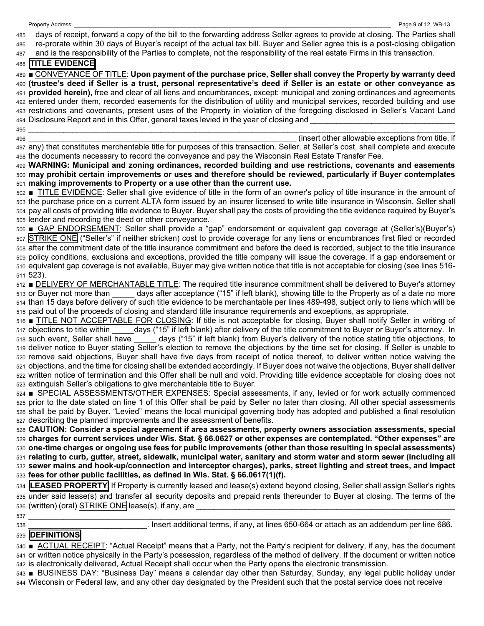485 days of receipt, forward a copy of the bill to the forwarding address Seller agrees to provide at closing. The Parties shall 486 re-prorate within 30 days of Buyer's receipt of the actual tax bill. Buyer and Seller agree this is a post-closing obligation 487 and is the responsibility of the Parties to complete, not the responsibility of the real estate Firms in this transaction.

## 488 **TITLE EVIDENCE**

489 ■ CONVEYANCE OF TITLE: **Upon payment of the purchase price, Seller shall convey the Property by warranty deed**  490 **(trustee's deed if Seller is a trust, personal representative's deed if Seller is an estate or other conveyance as**  491 **provided herein),** free and clear of all liens and encumbrances, except: municipal and zoning ordinances and agreements 492 entered under them, recorded easements for the distribution of utility and municipal services, recorded building and use 493 restrictions and covenants, present uses of the Property in violation of the foregoing disclosed in Seller's Vacant Land 494 Disclosure Report and in this Offer, general taxes levied in the year of closing and

495 \_\_\_\_\_\_\_\_\_\_\_\_\_\_\_\_\_\_\_\_\_\_\_\_\_\_\_\_\_\_\_\_\_\_\_\_\_\_\_\_\_\_\_\_\_\_\_\_\_\_\_\_\_\_\_\_\_\_\_\_\_\_\_\_\_\_\_\_\_\_\_\_\_\_\_\_\_\_\_\_\_\_\_\_\_\_\_\_\_\_\_\_\_\_\_\_\_ 496 \_\_\_\_\_\_\_\_\_\_\_\_\_\_\_\_\_\_\_\_\_\_\_\_\_\_\_\_\_\_\_\_\_\_\_\_\_\_\_\_\_\_\_\_\_\_\_\_\_\_\_\_\_\_\_\_\_\_\_\_\_ (insert other allowable exceptions from title, if

497 any) that constitutes merchantable title for purposes of this transaction. Seller, at Seller's cost, shall complete and execute 498 the documents necessary to record the conveyance and pay the Wisconsin Real Estate Transfer Fee.

499 **WARNING: Municipal and zoning ordinances, recorded building and use restrictions, covenants and easements**  500 **may prohibit certain improvements or uses and therefore should be reviewed, particularly if Buyer contemplates**  501 **making improvements to Property or a use other than the current use.** 

502 ■ TITLE EVIDENCE: Seller shall give evidence of title in the form of an owner's policy of title insurance in the amount of 503 the purchase price on a current ALTA form issued by an insurer licensed to write title insurance in Wisconsin. Seller shall 504 pay all costs of providing title evidence to Buyer. Buyer shall pay the costs of providing the title evidence required by Buyer's 505 lender and recording the deed or other conveyance.

506 ■ GAP ENDORSEMENT: Seller shall provide a "gap" endorsement or equivalent gap coverage at (Seller's)(Buyer's) 507 STRIKE ONE ("Seller's" if neither stricken) cost to provide coverage for any liens or encumbrances first filed or recorded 508 after the commitment date of the title insurance commitment and before the deed is recorded, subject to the title insurance 509 policy conditions, exclusions and exceptions, provided the title company will issue the coverage. If a gap endorsement or 510 equivalent gap coverage is not available, Buyer may give written notice that title is not acceptable for closing (see lines 516- 511 523).

512 ■ DELIVERY OF MERCHANTABLE TITLE: The required title insurance commitment shall be delivered to Buyer's attorney 513 or Buyer not more than \_\_\_\_\_ days after acceptance ("15" if left blank), showing title to the Property as of a date no more 514 than 15 days before delivery of such title evidence to be merchantable per lines 489-498, subject only to liens which will be 515 paid out of the proceeds of closing and standard title insurance requirements and exceptions, as appropriate.

516 ■ TITLE NOT ACCEPTABLE FOR CLOSING: If title is not acceptable for closing, Buyer shall notify Seller in writing of 517 objections to title within \_\_\_\_\_days ("15" if left blank) after delivery of the title commitment to Buyer or Buyer's attorney. In 518 such event, Seller shall have \_\_\_\_\_ days ("15" if left blank) from Buyer's delivery of the notice stating title objections, to 519 deliver notice to Buyer stating Seller's election to remove the objections by the time set for closing. If Seller is unable to 520 remove said objections, Buyer shall have five days from receipt of notice thereof, to deliver written notice waiving the 521 objections, and the time for closing shall be extended accordingly. If Buyer does not waive the objections, Buyer shall deliver 522 written notice of termination and this Offer shall be null and void. Providing title evidence acceptable for closing does not 523 extinguish Seller's obligations to give merchantable title to Buyer.

524 ■ SPECIAL ASSESSMENTS/OTHER EXPENSES: Special assessments, if any, levied or for work actually commenced 525 prior to the date stated on line 1 of this Offer shall be paid by Seller no later than closing. All other special assessments 526 shall be paid by Buyer. "Levied" means the local municipal governing body has adopted and published a final resolution 527 describing the planned improvements and the assessment of benefits.

**CAUTION: Consider a special agreement if area assessments, property owners association assessments, special charges for current services under Wis. Stat. § 66.0627 or other expenses are contemplated. "Other expenses" are one-time charges or ongoing use fees for public improvements (other than those resulting in special assessments) relating to curb, gutter, street, sidewalk, municipal water, sanitary and storm water and storm sewer (including all sewer mains and hook-up/connection and interceptor charges), parks, street lighting and street trees, and impact fees for other public facilities, as defined in Wis. Stat. § 66.0617(1)(f).** 

534 **LEASED PROPERTY** If Property is currently leased and lease(s) extend beyond closing, Seller shall assign Seller's rights 535 under said lease(s) and transfer all security deposits and prepaid rents thereunder to Buyer at closing. The terms of the 536 (written) (oral) STRIKE ONE lease(s), if any, are  $537$   $\_$ 

538 \_\_\_\_\_\_\_\_\_\_\_\_\_\_\_\_\_\_\_\_\_\_\_\_\_\_\_. Insert additional terms, if any, at lines 650-664 or attach as an addendum per line 686.

### 539 **DEFINITIONS**

540 **■** ACTUAL RECEIPT: "Actual Receipt" means that a Party, not the Party's recipient for delivery, if any, has the document 541 or written notice physically in the Party's possession, regardless of the method of delivery. If the document or written notice 542 is electronically delivered, Actual Receipt shall occur when the Party opens the electronic transmission.

543 **■** BUSINESS DAY: "Business Day" means a calendar day other than Saturday, Sunday, any legal public holiday under 544 Wisconsin or Federal law, and any other day designated by the President such that the postal service does not receive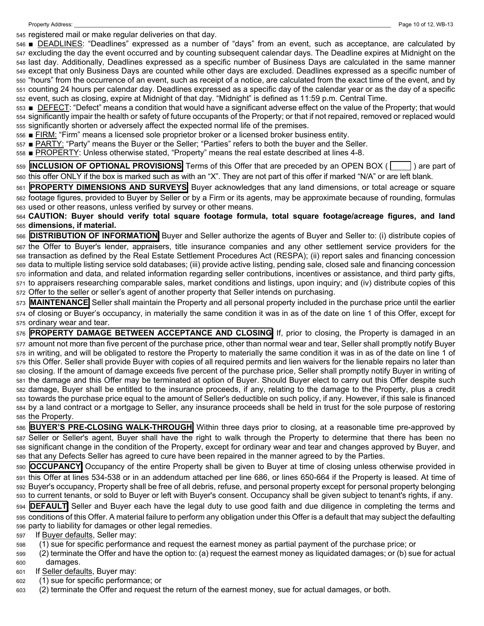545 registered mail or make regular deliveries on that day.

546 **■** DEADLINES: "Deadlines" expressed as a number of "days" from an event, such as acceptance, are calculated by 547 excluding the day the event occurred and by counting subsequent calendar days. The Deadline expires at Midnight on the 548 last day. Additionally, Deadlines expressed as a specific number of Business Days are calculated in the same manner 549 except that only Business Days are counted while other days are excluded. Deadlines expressed as a specific number of 550 "hours" from the occurrence of an event, such as receipt of a notice, are calculated from the exact time of the event, and by 551 counting 24 hours per calendar day. Deadlines expressed as a specific day of the calendar year or as the day of a specific 552 event, such as closing, expire at Midnight of that day. "Midnight" is defined as 11:59 p.m. Central Time.

553 **■** DEFECT: "Defect" means a condition that would have a significant adverse effect on the value of the Property; that would 554 significantly impair the health or safety of future occupants of the Property; or that if not repaired, removed or replaced would 555 significantly shorten or adversely affect the expected normal life of the premises.

556 ■ FIRM: "Firm" means a licensed sole proprietor broker or a licensed broker business entity.

557 **■** PARTY: "Party" means the Buyer or the Seller; "Parties" refers to both the buyer and the Seller.

558 **■** PROPERTY: Unless otherwise stated, "Property" means the real estate described at lines 4-8.

559 **INCLUSION OF OPTIONAL PROVISIONS** Terms of this Offer that are preceded by an OPEN BOX (1) are part of 560 this offer ONLY if the box is marked such as with an "X". They are not part of this offer if marked "N/A" or are left blank.

561 **PROPERTY DIMENSIONS AND SURVEYS** Buyer acknowledges that any land dimensions, or total acreage or square

562 footage figures, provided to Buyer by Seller or by a Firm or its agents, may be approximate because of rounding, formulas 563 used or other reasons, unless verified by survey or other means.

564 **CAUTION: Buyer should verify total square footage formula, total square footage/acreage figures, and land**  565 **dimensions, if material.** 

566 **DISTRIBUTION OF INFORMATION** Buyer and Seller authorize the agents of Buyer and Seller to: (i) distribute copies of 567 the Offer to Buyer's lender, appraisers, title insurance companies and any other settlement service providers for the 568 transaction as defined by the Real Estate Settlement Procedures Act (RESPA); (ii) report sales and financing concession 569 data to multiple listing service sold databases; (iii) provide active listing, pending sale, closed sale and financing concession 570 information and data, and related information regarding seller contributions, incentives or assistance, and third party gifts, 571 to appraisers researching comparable sales, market conditions and listings, upon inquiry; and (iv) distribute copies of this 572 Offer to the seller or seller's agent of another property that Seller intends on purchasing.

573 **MAINTENANCE** Seller shall maintain the Property and all personal property included in the purchase price until the earlier 574 of closing or Buyer's occupancy, in materially the same condition it was in as of the date on line 1 of this Offer, except for 575 ordinary wear and tear.

576 **PROPERTY DAMAGE BETWEEN ACCEPTANCE AND CLOSING** If, prior to closing, the Property is damaged in an 577 amount not more than five percent of the purchase price, other than normal wear and tear, Seller shall promptly notify Buyer 578 in writing, and will be obligated to restore the Property to materially the same condition it was in as of the date on line 1 of 579 this Offer. Seller shall provide Buyer with copies of all required permits and lien waivers for the lienable repairs no later than 580 closing. If the amount of damage exceeds five percent of the purchase price, Seller shall promptly notify Buyer in writing of 581 the damage and this Offer may be terminated at option of Buyer. Should Buyer elect to carry out this Offer despite such 582 damage, Buyer shall be entitled to the insurance proceeds, if any, relating to the damage to the Property, plus a credit 583 towards the purchase price equal to the amount of Seller's deductible on such policy, if any. However, if this sale is financed 584 by a land contract or a mortgage to Seller, any insurance proceeds shall be held in trust for the sole purpose of restoring 585 the Property.

586 **BUYER'S PRE-CLOSING WALK-THROUGH** Within three days prior to closing, at a reasonable time pre-approved by 587 Seller or Seller's agent, Buyer shall have the right to walk through the Property to determine that there has been no 588 significant change in the condition of the Property, except for ordinary wear and tear and changes approved by Buyer, and 589 that any Defects Seller has agreed to cure have been repaired in the manner agreed to by the Parties.

590 **OCCUPANCY** Occupancy of the entire Property shall be given to Buyer at time of closing unless otherwise provided in 591 this Offer at lines 534-538 or in an addendum attached per line 686, or lines 650-664 if the Property is leased. At time of 592 Buyer's occupancy, Property shall be free of all debris, refuse, and personal property except for personal property belonging 593 to current tenants, or sold to Buyer or left with Buyer's consent. Occupancy shall be given subject to tenant's rights, if any.

594 **DEFAULT** Seller and Buyer each have the legal duty to use good faith and due diligence in completing the terms and 595 conditions of this Offer. A material failure to perform any obligation under this Offer is a default that may subject the defaulting 596 party to liability for damages or other legal remedies.

597 If Buyer defaults, Seller may:

598 (1) sue for specific performance and request the earnest money as partial payment of the purchase price; or

599 (2) terminate the Offer and have the option to: (a) request the earnest money as liquidated damages; or (b) sue for actual 600 damages.

- 601 If Seller defaults, Buyer may:
- 602 (1) sue for specific performance; or

603 (2) terminate the Offer and request the return of the earnest money, sue for actual damages, or both.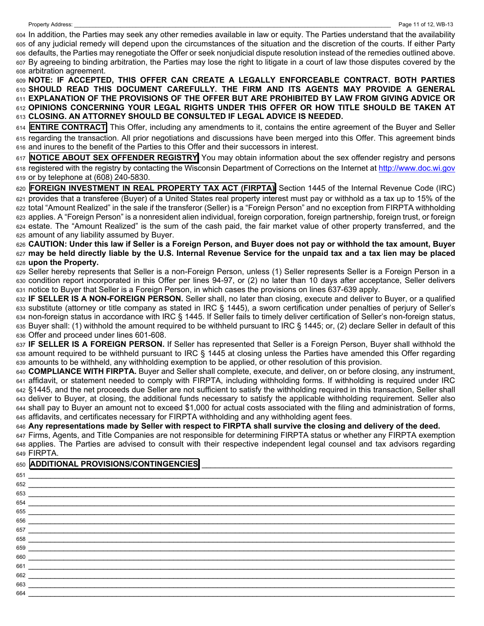604 In addition, the Parties may seek any other remedies available in law or equity. The Parties understand that the availability 605 of any judicial remedy will depend upon the circumstances of the situation and the discretion of the courts. If either Party 606 defaults, the Parties may renegotiate the Offer or seek nonjudicial dispute resolution instead of the remedies outlined above. 607 By agreeing to binding arbitration, the Parties may lose the right to litigate in a court of law those disputes covered by the 608 arbitration agreement.

**NOTE: IF ACCEPTED, THIS OFFER CAN CREATE A LEGALLY ENFORCEABLE CONTRACT. BOTH PARTIES SHOULD READ THIS DOCUMENT CAREFULLY. THE FIRM AND ITS AGENTS MAY PROVIDE A GENERAL EXPLANATION OF THE PROVISIONS OF THE OFFER BUT ARE PROHIBITED BY LAW FROM GIVING ADVICE OR OPINIONS CONCERNING YOUR LEGAL RIGHTS UNDER THIS OFFER OR HOW TITLE SHOULD BE TAKEN AT CLOSING. AN ATTORNEY SHOULD BE CONSULTED IF LEGAL ADVICE IS NEEDED.** 

614 **ENTIRE CONTRACT** This Offer, including any amendments to it, contains the entire agreement of the Buyer and Seller 615 regarding the transaction. All prior negotiations and discussions have been merged into this Offer. This agreement binds 616 and inures to the benefit of the Parties to this Offer and their successors in interest.

617 **NOTICE ABOUT SEX OFFENDER REGISTRY** You may obtain information about the sex offender registry and persons 618 registered with the registry by contacting the Wisconsin Department of Corrections on the Internet at http://www.doc.wi.gov 619 or by telephone at (608) 240-5830.

620 **FOREIGN INVESTMENT IN REAL PROPERTY TAX ACT (FIRPTA)** Section 1445 of the Internal Revenue Code (IRC) 621 provides that a transferee (Buyer) of a United States real property interest must pay or withhold as a tax up to 15% of the 622 total "Amount Realized" in the sale if the transferor (Seller) is a "Foreign Person" and no exception from FIRPTA withholding 623 applies. A "Foreign Person" is a nonresident alien individual, foreign corporation, foreign partnership, foreign trust, or foreign 624 estate. The "Amount Realized" is the sum of the cash paid, the fair market value of other property transferred, and the 625 amount of any liability assumed by Buyer.

626 **CAUTION: Under this law if Seller is a Foreign Person, and Buyer does not pay or withhold the tax amount, Buyer**  627 **may be held directly liable by the U.S. Internal Revenue Service for the unpaid tax and a tax lien may be placed**  628 **upon the Property.** 

629 Seller hereby represents that Seller is a non-Foreign Person, unless (1) Seller represents Seller is a Foreign Person in a 630 condition report incorporated in this Offer per lines 94-97, or (2) no later than 10 days after acceptance, Seller delivers 631 notice to Buyer that Seller is a Foreign Person, in which cases the provisions on lines 637-639 apply.

632 **IF SELLER IS A NON-FOREIGN PERSON.** Seller shall, no later than closing, execute and deliver to Buyer, or a qualified 633 substitute (attorney or title company as stated in IRC § 1445), a sworn certification under penalties of perjury of Seller's 634 non-foreign status in accordance with IRC § 1445. If Seller fails to timely deliver certification of Seller's non-foreign status, 635 Buyer shall: (1) withhold the amount required to be withheld pursuant to IRC § 1445; or, (2) declare Seller in default of this 636 Offer and proceed under lines 601-608.

637 **IF SELLER IS A FOREIGN PERSON.** If Seller has represented that Seller is a Foreign Person, Buyer shall withhold the 638 amount required to be withheld pursuant to IRC § 1445 at closing unless the Parties have amended this Offer regarding 639 amounts to be withheld, any withholding exemption to be applied, or other resolution of this provision.

640 **COMPLIANCE WITH FIRPTA.** Buyer and Seller shall complete, execute, and deliver, on or before closing, any instrument, 641 affidavit, or statement needed to comply with FIRPTA, including withholding forms. If withholding is required under IRC 642 §1445, and the net proceeds due Seller are not sufficient to satisfy the withholding required in this transaction, Seller shall 643 deliver to Buyer, at closing, the additional funds necessary to satisfy the applicable withholding requirement. Seller also 644 shall pay to Buyer an amount not to exceed \$1,000 for actual costs associated with the filing and administration of forms, 645 affidavits, and certificates necessary for FIRPTA withholding and any withholding agent fees.

646 **Any representations made by Seller with respect to FIRPTA shall survive the closing and delivery of the deed.** 

647 Firms, Agents, and Title Companies are not responsible for determining FIRPTA status or whether any FIRPTA exemption 648 applies. The Parties are advised to consult with their respective independent legal counsel and tax advisors regarding 649 FIRPTA.

651 \_\_\_\_\_\_\_\_\_\_\_\_\_\_\_\_\_\_\_\_\_\_\_\_\_\_\_\_\_\_\_\_\_\_\_\_\_\_\_\_\_\_\_\_\_\_\_\_\_\_\_\_\_\_\_\_\_\_\_\_\_\_\_\_\_\_\_\_\_\_\_\_\_\_\_\_\_\_\_\_\_\_\_\_\_\_\_\_\_\_\_\_\_\_\_\_\_

664 \_\_\_\_\_\_\_\_\_\_\_\_\_\_\_\_\_\_\_\_\_\_\_\_\_\_\_\_\_\_\_\_\_\_\_\_\_\_\_\_\_\_\_\_\_\_\_\_\_\_\_\_\_\_\_\_\_\_\_\_\_\_\_\_\_\_\_\_\_\_\_\_\_\_\_\_\_\_\_\_\_\_\_\_\_\_\_\_\_\_\_\_\_\_\_\_\_

### 650 **ADDITIONAL PROVISIONS/CONTINGENCIES**

652 \_\_\_\_\_\_\_\_\_\_\_\_\_\_\_\_\_\_\_\_\_\_\_\_\_\_\_\_\_\_\_\_\_\_\_\_\_\_\_\_\_\_\_\_\_\_\_\_\_\_\_\_\_\_\_\_\_\_\_\_\_\_\_\_\_\_\_\_\_\_\_\_\_\_\_\_\_\_\_\_\_\_\_\_\_\_\_\_\_\_\_\_\_\_\_\_\_ 653 \_\_\_\_\_\_\_\_\_\_\_\_\_\_\_\_\_\_\_\_\_\_\_\_\_\_\_\_\_\_\_\_\_\_\_\_\_\_\_\_\_\_\_\_\_\_\_\_\_\_\_\_\_\_\_\_\_\_\_\_\_\_\_\_\_\_\_\_\_\_\_\_\_\_\_\_\_\_\_\_\_\_\_\_\_\_\_\_\_\_\_\_\_\_\_\_\_ 654 \_\_\_\_\_\_\_\_\_\_\_\_\_\_\_\_\_\_\_\_\_\_\_\_\_\_\_\_\_\_\_\_\_\_\_\_\_\_\_\_\_\_\_\_\_\_\_\_\_\_\_\_\_\_\_\_\_\_\_\_\_\_\_\_\_\_\_\_\_\_\_\_\_\_\_\_\_\_\_\_\_\_\_\_\_\_\_\_\_\_\_\_\_\_\_\_\_ 655 \_\_\_\_\_\_\_\_\_\_\_\_\_\_\_\_\_\_\_\_\_\_\_\_\_\_\_\_\_\_\_\_\_\_\_\_\_\_\_\_\_\_\_\_\_\_\_\_\_\_\_\_\_\_\_\_\_\_\_\_\_\_\_\_\_\_\_\_\_\_\_\_\_\_\_\_\_\_\_\_\_\_\_\_\_\_\_\_\_\_\_\_\_\_\_\_\_ 656 \_\_\_\_\_\_\_\_\_\_\_\_\_\_\_\_\_\_\_\_\_\_\_\_\_\_\_\_\_\_\_\_\_\_\_\_\_\_\_\_\_\_\_\_\_\_\_\_\_\_\_\_\_\_\_\_\_\_\_\_\_\_\_\_\_\_\_\_\_\_\_\_\_\_\_\_\_\_\_\_\_\_\_\_\_\_\_\_\_\_\_\_\_\_\_\_\_ 657 \_\_\_\_\_\_\_\_\_\_\_\_\_\_\_\_\_\_\_\_\_\_\_\_\_\_\_\_\_\_\_\_\_\_\_\_\_\_\_\_\_\_\_\_\_\_\_\_\_\_\_\_\_\_\_\_\_\_\_\_\_\_\_\_\_\_\_\_\_\_\_\_\_\_\_\_\_\_\_\_\_\_\_\_\_\_\_\_\_\_\_\_\_\_\_\_\_ 658 \_\_\_\_\_\_\_\_\_\_\_\_\_\_\_\_\_\_\_\_\_\_\_\_\_\_\_\_\_\_\_\_\_\_\_\_\_\_\_\_\_\_\_\_\_\_\_\_\_\_\_\_\_\_\_\_\_\_\_\_\_\_\_\_\_\_\_\_\_\_\_\_\_\_\_\_\_\_\_\_\_\_\_\_\_\_\_\_\_\_\_\_\_\_\_\_\_ 659 \_\_\_\_\_\_\_\_\_\_\_\_\_\_\_\_\_\_\_\_\_\_\_\_\_\_\_\_\_\_\_\_\_\_\_\_\_\_\_\_\_\_\_\_\_\_\_\_\_\_\_\_\_\_\_\_\_\_\_\_\_\_\_\_\_\_\_\_\_\_\_\_\_\_\_\_\_\_\_\_\_\_\_\_\_\_\_\_\_\_\_\_\_\_\_\_\_ 660 \_\_\_\_\_\_\_\_\_\_\_\_\_\_\_\_\_\_\_\_\_\_\_\_\_\_\_\_\_\_\_\_\_\_\_\_\_\_\_\_\_\_\_\_\_\_\_\_\_\_\_\_\_\_\_\_\_\_\_\_\_\_\_\_\_\_\_\_\_\_\_\_\_\_\_\_\_\_\_\_\_\_\_\_\_\_\_\_\_\_\_\_\_\_\_\_\_ 661 \_\_\_\_\_\_\_\_\_\_\_\_\_\_\_\_\_\_\_\_\_\_\_\_\_\_\_\_\_\_\_\_\_\_\_\_\_\_\_\_\_\_\_\_\_\_\_\_\_\_\_\_\_\_\_\_\_\_\_\_\_\_\_\_\_\_\_\_\_\_\_\_\_\_\_\_\_\_\_\_\_\_\_\_\_\_\_\_\_\_\_\_\_\_\_\_\_ 662 \_\_\_\_\_\_\_\_\_\_\_\_\_\_\_\_\_\_\_\_\_\_\_\_\_\_\_\_\_\_\_\_\_\_\_\_\_\_\_\_\_\_\_\_\_\_\_\_\_\_\_\_\_\_\_\_\_\_\_\_\_\_\_\_\_\_\_\_\_\_\_\_\_\_\_\_\_\_\_\_\_\_\_\_\_\_\_\_\_\_\_\_\_\_\_\_\_ 663 \_\_\_\_\_\_\_\_\_\_\_\_\_\_\_\_\_\_\_\_\_\_\_\_\_\_\_\_\_\_\_\_\_\_\_\_\_\_\_\_\_\_\_\_\_\_\_\_\_\_\_\_\_\_\_\_\_\_\_\_\_\_\_\_\_\_\_\_\_\_\_\_\_\_\_\_\_\_\_\_\_\_\_\_\_\_\_\_\_\_\_\_\_\_\_\_\_